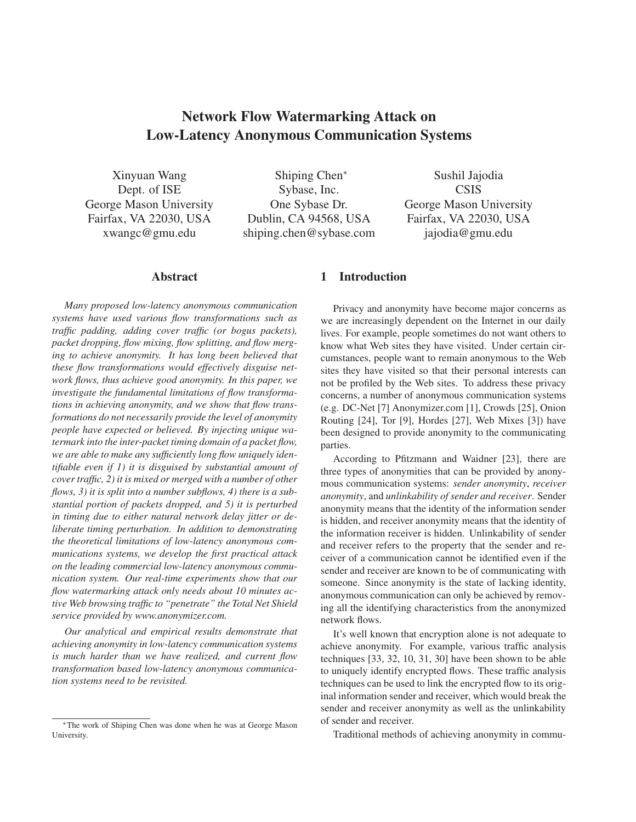# **Network Flow Watermarking Attack on Low-Latency Anonymous Communication Systems**

Xinyuan Wang Dept. of ISE George Mason University Fairfax, VA 22030, USA xwangc@gmu.edu

Shiping Chen<sup>∗</sup> Sybase, Inc. One Sybase Dr. Dublin, CA 94568, USA shiping.chen@sybase.com

Sushil Jajodia CSIS George Mason University Fairfax, VA 22030, USA jajodia@gmu.edu

## **Abstract**

*Many proposed low-latency anonymous communication systems have used various flow transformations such as traffic padding, adding cover traffic (or bogus packets), packet dropping, flow mixing, flow splitting, and flow merging to achieve anonymity. It has long been believed that these flow transformations would effectively disguise network flows, thus achieve good anonymity. In this paper, we investigate the fundamental limitations of flow transformations in achieving anonymity, and we show that flow transformations do not necessarily provide the level of anonymity people have expected or believed. By injecting unique watermark into the inter-packet timing domain of a packet flow, we are able to make any sufficiently long flow uniquely identifiable even if 1) it is disguised by substantial amount of cover traffic, 2) it is mixed or merged with a number of other flows, 3) it is split into a number subflows, 4) there is a substantial portion of packets dropped, and 5) it is perturbed in timing due to either natural network delay jitter or deliberate timing perturbation. In addition to demonstrating the theoretical limitations of low-latency anonymous communications systems, we develop the first practical attack on the leading commercial low-latency anonymous communication system. Our real-time experiments show that our flow watermarking attack only needs about 10 minutes active Web browsing traffic to "penetrate" the Total Net Shield service provided by www.anonymizer.com.*

*Our analytical and empirical results demonstrate that achieving anonymity in low-latency communication systems is much harder than we have realized, and current flow transformation based low-latency anonymous communication systems need to be revisited.*

#### **1 Introduction**

Privacy and anonymity have become major concerns as we are increasingly dependent on the Internet in our daily lives. For example, people sometimes do not want others to know what Web sites they have visited. Under certain circumstances, people want to remain anonymous to the Web sites they have visited so that their personal interests can not be profiled by the Web sites. To address these privacy concerns, a number of anonymous communication systems (e.g. DC-Net [7] Anonymizer.com [1], Crowds [25], Onion Routing [24], Tor [9], Hordes [27], Web Mixes [3]) have been designed to provide anonymity to the communicating parties.

According to Pfitzmann and Waidner [23], there are three types of anonymities that can be provided by anonymous communication systems: *sender anonymity*, *receiver anonymity*, and *unlinkability of sender and receiver*. Sender anonymity means that the identity of the information sender is hidden, and receiver anonymity means that the identity of the information receiver is hidden. Unlinkability of sender and receiver refers to the property that the sender and receiver of a communication cannot be identified even if the sender and receiver are known to be of communicating with someone. Since anonymity is the state of lacking identity, anonymous communication can only be achieved by removing all the identifying characteristics from the anonymized network flows.

It's well known that encryption alone is not adequate to achieve anonymity. For example, various traffic analysis techniques [33, 32, 10, 31, 30] have been shown to be able to uniquely identify encrypted flows. These traffic analysis techniques can be used to link the encrypted flow to its original information sender and receiver, which would break the sender and receiver anonymity as well as the unlinkability of sender and receiver.

Traditional methods of achieving anonymity in commu-

<sup>∗</sup>The work of Shiping Chen was done when he was at George Mason University.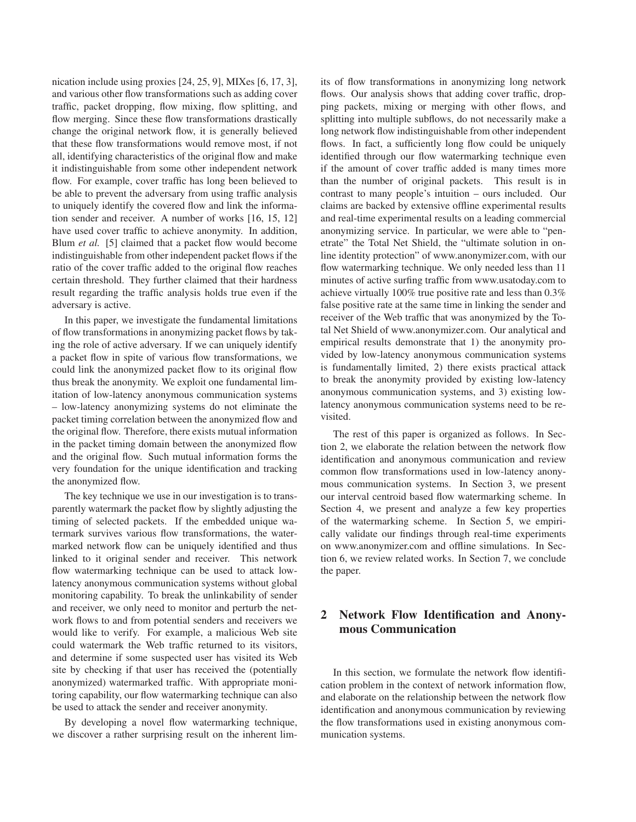nication include using proxies [24, 25, 9], MIXes [6, 17, 3], and various other flow transformations such as adding cover traffic, packet dropping, flow mixing, flow splitting, and flow merging. Since these flow transformations drastically change the original network flow, it is generally believed that these flow transformations would remove most, if not all, identifying characteristics of the original flow and make it indistinguishable from some other independent network flow. For example, cover traffic has long been believed to be able to prevent the adversary from using traffic analysis to uniquely identify the covered flow and link the information sender and receiver. A number of works [16, 15, 12] have used cover traffic to achieve anonymity. In addition, Blum *et al.* [5] claimed that a packet flow would become indistinguishable from other independent packet flows if the ratio of the cover traffic added to the original flow reaches certain threshold. They further claimed that their hardness result regarding the traffic analysis holds true even if the adversary is active.

In this paper, we investigate the fundamental limitations of flow transformations in anonymizing packet flows by taking the role of active adversary. If we can uniquely identify a packet flow in spite of various flow transformations, we could link the anonymized packet flow to its original flow thus break the anonymity. We exploit one fundamental limitation of low-latency anonymous communication systems – low-latency anonymizing systems do not eliminate the packet timing correlation between the anonymized flow and the original flow. Therefore, there exists mutual information in the packet timing domain between the anonymized flow and the original flow. Such mutual information forms the very foundation for the unique identification and tracking the anonymized flow.

The key technique we use in our investigation is to transparently watermark the packet flow by slightly adjusting the timing of selected packets. If the embedded unique watermark survives various flow transformations, the watermarked network flow can be uniquely identified and thus linked to it original sender and receiver. This network flow watermarking technique can be used to attack lowlatency anonymous communication systems without global monitoring capability. To break the unlinkability of sender and receiver, we only need to monitor and perturb the network flows to and from potential senders and receivers we would like to verify. For example, a malicious Web site could watermark the Web traffic returned to its visitors, and determine if some suspected user has visited its Web site by checking if that user has received the (potentially anonymized) watermarked traffic. With appropriate monitoring capability, our flow watermarking technique can also be used to attack the sender and receiver anonymity.

By developing a novel flow watermarking technique, we discover a rather surprising result on the inherent limits of flow transformations in anonymizing long network flows. Our analysis shows that adding cover traffic, dropping packets, mixing or merging with other flows, and splitting into multiple subflows, do not necessarily make a long network flow indistinguishable from other independent flows. In fact, a sufficiently long flow could be uniquely identified through our flow watermarking technique even if the amount of cover traffic added is many times more than the number of original packets. This result is in contrast to many people's intuition – ours included. Our claims are backed by extensive offline experimental results and real-time experimental results on a leading commercial anonymizing service. In particular, we were able to "penetrate" the Total Net Shield, the "ultimate solution in online identity protection" of www.anonymizer.com, with our flow watermarking technique. We only needed less than 11 minutes of active surfing traffic from www.usatoday.com to achieve virtually 100% true positive rate and less than 0.3% false positive rate at the same time in linking the sender and receiver of the Web traffic that was anonymized by the Total Net Shield of www.anonymizer.com. Our analytical and empirical results demonstrate that 1) the anonymity provided by low-latency anonymous communication systems is fundamentally limited, 2) there exists practical attack to break the anonymity provided by existing low-latency anonymous communication systems, and 3) existing lowlatency anonymous communication systems need to be revisited.

The rest of this paper is organized as follows. In Section 2, we elaborate the relation between the network flow identification and anonymous communication and review common flow transformations used in low-latency anonymous communication systems. In Section 3, we present our interval centroid based flow watermarking scheme. In Section 4, we present and analyze a few key properties of the watermarking scheme. In Section 5, we empirically validate our findings through real-time experiments on www.anonymizer.com and offline simulations. In Section 6, we review related works. In Section 7, we conclude the paper.

# **2 Network Flow Identification and Anonymous Communication**

In this section, we formulate the network flow identification problem in the context of network information flow, and elaborate on the relationship between the network flow identification and anonymous communication by reviewing the flow transformations used in existing anonymous communication systems.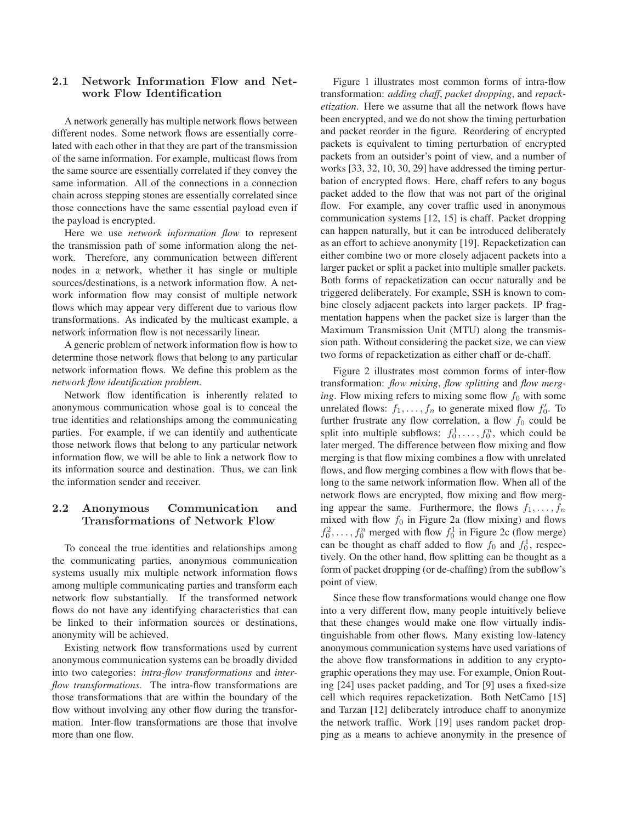# **2.1 Network Information Flow and Network Flow Identification**

A network generally has multiple network flows between different nodes. Some network flows are essentially correlated with each other in that they are part of the transmission of the same information. For example, multicast flows from the same source are essentially correlated if they convey the same information. All of the connections in a connection chain across stepping stones are essentially correlated since those connections have the same essential payload even if the payload is encrypted.

Here we use *network information flow* to represent the transmission path of some information along the network. Therefore, any communication between different nodes in a network, whether it has single or multiple sources/destinations, is a network information flow. A network information flow may consist of multiple network flows which may appear very different due to various flow transformations. As indicated by the multicast example, a network information flow is not necessarily linear.

A generic problem of network information flow is how to determine those network flows that belong to any particular network information flows. We define this problem as the *network flow identification problem*.

Network flow identification is inherently related to anonymous communication whose goal is to conceal the true identities and relationships among the communicating parties. For example, if we can identify and authenticate those network flows that belong to any particular network information flow, we will be able to link a network flow to its information source and destination. Thus, we can link the information sender and receiver.

# **2.2 Anonymous Communication and Transformations of Network Flow**

To conceal the true identities and relationships among the communicating parties, anonymous communication systems usually mix multiple network information flows among multiple communicating parties and transform each network flow substantially. If the transformed network flows do not have any identifying characteristics that can be linked to their information sources or destinations, anonymity will be achieved.

Existing network flow transformations used by current anonymous communication systems can be broadly divided into two categories: *intra-flow transformations* and *interflow transformations*. The intra-flow transformations are those transformations that are within the boundary of the flow without involving any other flow during the transformation. Inter-flow transformations are those that involve more than one flow.

Figure 1 illustrates most common forms of intra-flow transformation: *adding chaff*, *packet dropping*, and *repacketization*. Here we assume that all the network flows have been encrypted, and we do not show the timing perturbation and packet reorder in the figure. Reordering of encrypted packets is equivalent to timing perturbation of encrypted packets from an outsider's point of view, and a number of works [33, 32, 10, 30, 29] have addressed the timing perturbation of encrypted flows. Here, chaff refers to any bogus packet added to the flow that was not part of the original flow. For example, any cover traffic used in anonymous communication systems [12, 15] is chaff. Packet dropping can happen naturally, but it can be introduced deliberately as an effort to achieve anonymity [19]. Repacketization can either combine two or more closely adjacent packets into a larger packet or split a packet into multiple smaller packets. Both forms of repacketization can occur naturally and be triggered deliberately. For example, SSH is known to combine closely adjacent packets into larger packets. IP fragmentation happens when the packet size is larger than the Maximum Transmission Unit (MTU) along the transmission path. Without considering the packet size, we can view two forms of repacketization as either chaff or de-chaff.

Figure 2 illustrates most common forms of inter-flow transformation: *flow mixing*, *flow splitting* and *flow merging*. Flow mixing refers to mixing some flow  $f_0$  with some unrelated flows:  $f_1, \ldots, f_n$  to generate mixed flow  $f'_0$ . To further frustrate any flow correlation, a flow  $f_0$  could be split into multiple subflows:  $f_0^1, \ldots, f_0^n$ , which could be later merged. The difference between flow mixing and flow merging is that flow mixing combines a flow with unrelated flows, and flow merging combines a flow with flows that belong to the same network information flow. When all of the network flows are encrypted, flow mixing and flow merging appear the same. Furthermore, the flows  $f_1, \ldots, f_n$ mixed with flow  $f_0$  in Figure 2a (flow mixing) and flows  $f_0^2, \ldots, f_0^n$  merged with flow  $f_0^1$  in Figure 2c (flow merge) can be thought as chaff added to flow  $f_0$  and  $f_0^1$ , respectively. On the other hand, flow splitting can be thought as a form of packet dropping (or de-chaffing) from the subflow's point of view.

Since these flow transformations would change one flow into a very different flow, many people intuitively believe that these changes would make one flow virtually indistinguishable from other flows. Many existing low-latency anonymous communication systems have used variations of the above flow transformations in addition to any cryptographic operations they may use. For example, Onion Routing [24] uses packet padding, and Tor [9] uses a fixed-size cell which requires repacketization. Both NetCamo [15] and Tarzan [12] deliberately introduce chaff to anonymize the network traffic. Work [19] uses random packet dropping as a means to achieve anonymity in the presence of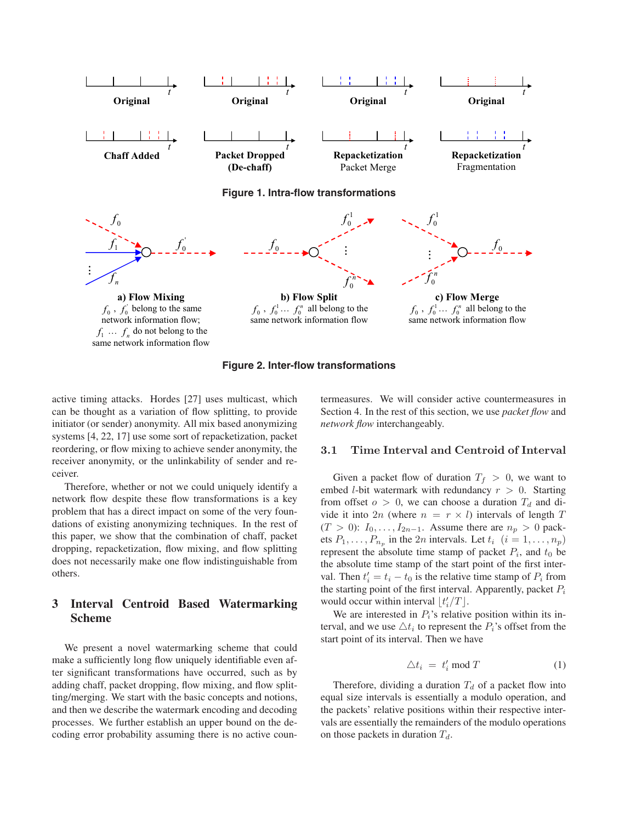

# **Figure 2. Inter-flow transformations**

active timing attacks. Hordes [27] uses multicast, which can be thought as a variation of flow splitting, to provide initiator (or sender) anonymity. All mix based anonymizing systems [4, 22, 17] use some sort of repacketization, packet reordering, or flow mixing to achieve sender anonymity, the receiver anonymity, or the unlinkability of sender and receiver.

Therefore, whether or not we could uniquely identify a network flow despite these flow transformations is a key problem that has a direct impact on some of the very foundations of existing anonymizing techniques. In the rest of this paper, we show that the combination of chaff, packet dropping, repacketization, flow mixing, and flow splitting does not necessarily make one flow indistinguishable from others.

# **3 Interval Centroid Based Watermarking Scheme**

We present a novel watermarking scheme that could make a sufficiently long flow uniquely identifiable even after significant transformations have occurred, such as by adding chaff, packet dropping, flow mixing, and flow splitting/merging. We start with the basic concepts and notions, and then we describe the watermark encoding and decoding processes. We further establish an upper bound on the decoding error probability assuming there is no active countermeasures. We will consider active countermeasures in Section 4. In the rest of this section, we use *packet flow* and *network flow* interchangeably.

#### **3.1 Time Interval and Centroid of Interval**

Given a packet flow of duration  $T_f > 0$ , we want to embed *l*-bit watermark with redundancy *r >* 0. Starting from offset  $o > 0$ , we can choose a duration  $T_d$  and divide it into  $2n$  (where  $n = r \times l$ ) intervals of length *T*  $(T > 0)$ :  $I_0, \ldots, I_{2n-1}$ . Assume there are  $n_p > 0$  packets  $P_1, \ldots, P_{n_p}$  in the 2*n* intervals. Let  $t_i$   $(i = 1, \ldots, n_p)$ represent the absolute time stamp of packet  $P_i$ , and  $t_0$  be the absolute time stamp of the start point of the first interval. Then  $t'_i = t_i - t_0$  is the relative time stamp of  $P_i$  from the starting point of the first interval. Apparently, packet *P<sup>i</sup>* would occur within interval  $\lfloor t'_i/T \rfloor$ .

We are interested in  $P_i$ 's relative position within its interval, and we use  $\Delta t_i$  to represent the  $P_i$ 's offset from the start point of its interval. Then we have

$$
\triangle t_i = t'_i \bmod T \tag{1}
$$

Therefore, dividing a duration  $T_d$  of a packet flow into equal size intervals is essentially a modulo operation, and the packets' relative positions within their respective intervals are essentially the remainders of the modulo operations on those packets in duration *Td*.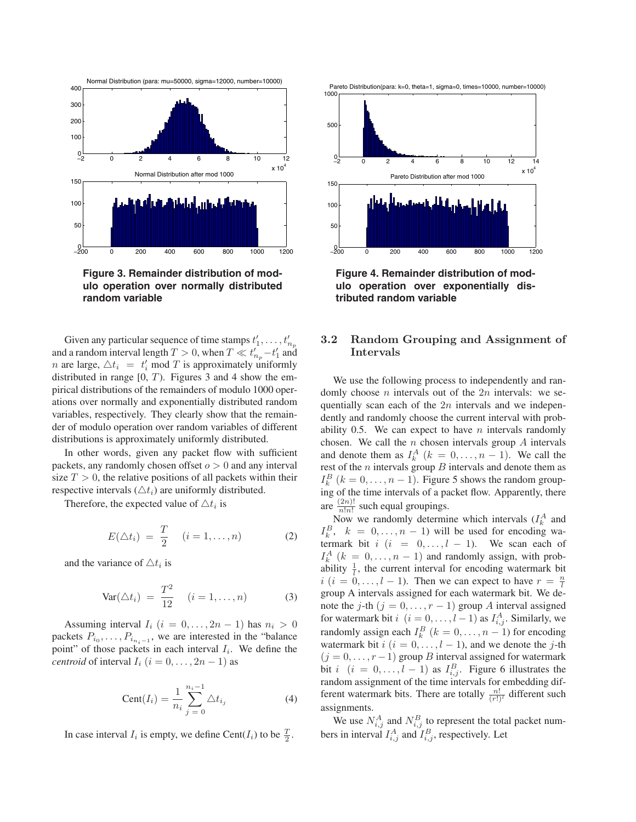

**Figure 3. Remainder distribution of modulo operation over normally distributed random variable**

Given any particular sequence of time stamps  $t'_{1}, \ldots, t'_{n_{p}}$ and a random interval length  $T > 0$ , when  $T \ll t'_{n_p} - t'_1$  and *n* are large,  $\Delta t_i = t'_i \text{ mod } T$  is approximately uniformly distributed in range [0, *T*). Figures 3 and 4 show the empirical distributions of the remainders of modulo 1000 operations over normally and exponentially distributed random variables, respectively. They clearly show that the remainder of modulo operation over random variables of different distributions is approximately uniformly distributed.

In other words, given any packet flow with sufficient packets, any randomly chosen offset *o >* 0 and any interval size  $T > 0$ , the relative positions of all packets within their respective intervals  $(\triangle t_i)$  are uniformly distributed.

Therefore, the expected value of  $\Delta t_i$  is

$$
E(\triangle t_i) = \frac{T}{2} \quad (i = 1, \dots, n)
$$
 (2)

and the variance of  $\Delta t_i$  is

$$
\text{Var}(\triangle t_i) = \frac{T^2}{12} \quad (i = 1, \dots, n) \tag{3}
$$

Assuming interval  $I_i$  ( $i = 0, \ldots, 2n - 1$ ) has  $n_i > 0$ packets  $P_{i_0}, \ldots, P_{i_{n_i-1}}$ , we are interested in the "balance" point" of those packets in each interval  $I_i$ . We define the *centroid* of interval  $I_i$  ( $i = 0, \ldots, 2n - 1$ ) as

$$
Cent(I_i) = \frac{1}{n_i} \sum_{j=0}^{n_i - 1} \triangle t_{i_j}
$$
 (4)

In case interval  $I_i$  is empty, we define Cent( $I_i$ ) to be  $\frac{T}{2}$ .



**Figure 4. Remainder distribution of modulo operation over exponentially distributed random variable**

# **3.2 Random Grouping and Assignment of Intervals**

We use the following process to independently and randomly choose *n* intervals out of the 2*n* intervals: we sequentially scan each of the 2*n* intervals and we independently and randomly choose the current interval with probability 0.5. We can expect to have *n* intervals randomly chosen. We call the *n* chosen intervals group *A* intervals and denote them as  $I_k^A$  ( $k = 0, ..., n - 1$ ). We call the rest of the *n* intervals group *B* intervals and denote them as  $I_k^B$  ( $k = 0, \ldots, n - 1$ ). Figure 5 shows the random grouping of the time intervals of a packet flow. Apparently, there are  $\frac{(2n)!}{n!n!}$  such equal groupings.

Now we randomly determine which intervals  $(I_k^A$  and  $I_k^B$ ,  $k = 0, ..., n - 1$ ) will be used for encoding watermark bit  $i$  ( $i = 0, \ldots, l - 1$ ). We scan each of  $I_k^A$  ( $k = 0, \ldots, n - 1$ ) and randomly assign, with probability  $\frac{1}{l}$ , the current interval for encoding watermark bit *i* (*i* =  $0, \ldots, l - 1$ ). Then we can expect to have  $r = \frac{n}{l}$ group A intervals assigned for each watermark bit. We denote the *j*-th  $(j = 0, ..., r - 1)$  group *A* interval assigned for watermark bit *i*  $(i = 0, \ldots, l - 1)$  as  $I_{i,j}^A$ . Similarly, we randomly assign each  $I_k^B$  ( $k = 0, ..., n - 1$ ) for encoding watermark bit  $i$  ( $i = 0, \ldots, l - 1$ ), and we denote the *j*-th  $(j = 0, \ldots, r-1)$  group *B* interval assigned for watermark bit *i*  $(i = 0, \ldots, l - 1)$  as  $I_{i,j}^B$ . Figure 6 illustrates the random assignment of the time intervals for embedding different watermark bits. There are totally  $\frac{n!}{(r!)^l}$  different such assignments.

We use  $N_{i,j}^A$  and  $N_{i,j}^B$  to represent the total packet numbers in interval  $I_{i,j}^A$  and  $I_{i,j}^B$ , respectively. Let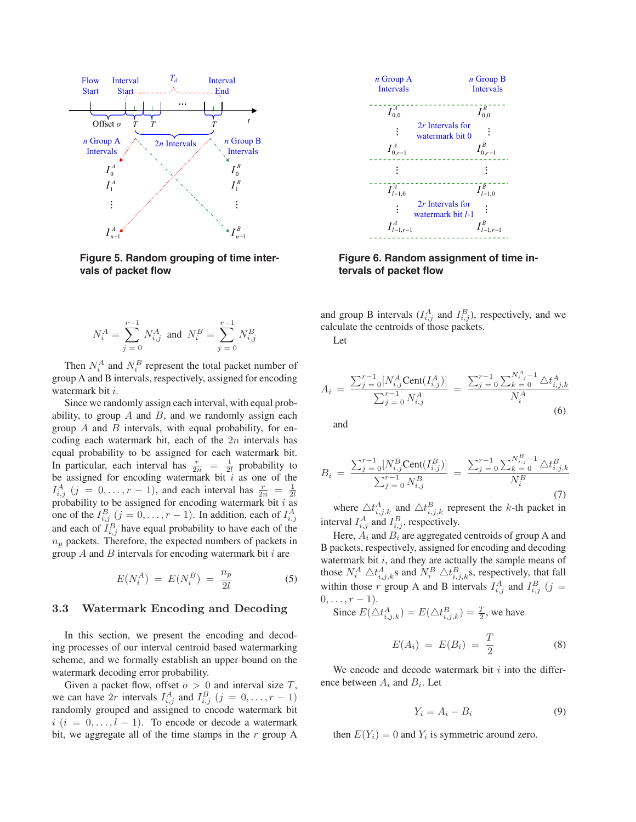

**Figure 5. Random grouping of time intervals of packet flow**

$$
N_i^A = \sum_{j=0}^{r-1} N_{i,j}^A \text{ and } N_i^B = \sum_{j=0}^{r-1} N_{i,j}^B
$$

Then  $N_i^A$  and  $N_i^B$  represent the total packet number of group A and B intervals, respectively, assigned for encoding watermark bit *i*.

Since we randomly assign each interval, with equal probability, to group *A* and *B*, and we randomly assign each group *A* and *B* intervals, with equal probability, for encoding each watermark bit, each of the 2*n* intervals has equal probability to be assigned for each watermark bit. In particular, each interval has  $\frac{r}{2n} = \frac{1}{2l}$  probability to be assigned for encoding watermark bit *i* as one of the  $I_{i,j}^A$  (*j* = 0, ..., *r* − 1), and each interval has  $\frac{r}{2n} = \frac{1}{2l}$ probability to be assigned for encoding watermark bit *i* as one of the  $I_{i,j}^B(j = 0, \ldots, r - 1)$ . In addition, each of  $I_{i,j}^A$ and each of  $I_{i,j}^B$  have equal probability to have each of the  $n_p$  packets. Therefore, the expected numbers of packets in group *A* and *B* intervals for encoding watermark bit *i* are

$$
E(N_i^A) = E(N_i^B) = \frac{n_p}{2l} \tag{5}
$$

#### **3.3 Watermark Encoding and Decoding**

In this section, we present the encoding and decoding processes of our interval centroid based watermarking scheme, and we formally establish an upper bound on the watermark decoding error probability.

Given a packet flow, offset  $o > 0$  and interval size *T*, we can have 2*r* intervals  $I_{i,j}^A$  and  $I_{i,j}^B$  ( $j = 0, \ldots, r - 1$ ) randomly grouped and assigned to encode watermark bit  $i$  ( $i = 0, \ldots, l - 1$ ). To encode or decode a watermark bit, we aggregate all of the time stamps in the *r* group A



**Figure 6. Random assignment of time intervals of packet flow**

and group B intervals  $(I_{i,j}^A$  and  $I_{i,j}^B$ ), respectively, and we calculate the centroids of those packets.

Let

$$
A_i = \frac{\sum_{j=0}^{r-1} [N_{i,j}^A \text{Cent}(I_{i,j}^A)]}{\sum_{j=0}^{r-1} N_{i,j}^A} = \frac{\sum_{j=0}^{r-1} \sum_{k=0}^{N_{i,j}^A - 1} \triangle t_{i,j,k}^A}{N_i^A}
$$
(6)

and

$$
B_i = \frac{\sum_{j=0}^{r-1} [N_{i,j}^B \text{Cent}(I_{i,j}^B)]}{\sum_{j=0}^{r-1} N_{i,j}^B} = \frac{\sum_{j=0}^{r-1} \sum_{k=0}^{N_{i,j}^B - 1} \Delta t_{i,j,k}^B}{N_i^B}
$$
(7)

where  $\triangle t_{i,j,k}^A$  and  $\triangle t_{i,j,k}^B$  represent the *k*-th packet in interval  $I_{i,j}^A$  and  $I_{i,j}^B$ , respectively.

Here,  $A_i$  and  $B_i$  are aggregated centroids of group A and B packets, respectively, assigned for encoding and decoding watermark bit *i*, and they are actually the sample means of those  $N_i^A \triangle t_{i,j,k}^A$ s and  $N_i^B \triangle t_{i,j,k}^B$ s, respectively, that fall within those *r* group A and B intervals  $I_{i,j}^A$  and  $I_{i,j}^B$  (*j* =  $0, \ldots, r-1$ ).<br>Since  $E(\triangle$ 

Since 
$$
E(\triangle t_{i,j,k}^A) = E(\triangle t_{i,j,k}^B) = \frac{T}{2}
$$
, we have

$$
E(A_i) = E(B_i) = \frac{T}{2} \tag{8}
$$

We encode and decode watermark bit *i* into the difference between *A<sup>i</sup>* and *Bi*. Let

$$
Y_i = A_i - B_i \tag{9}
$$

then  $E(Y_i) = 0$  and  $Y_i$  is symmetric around zero.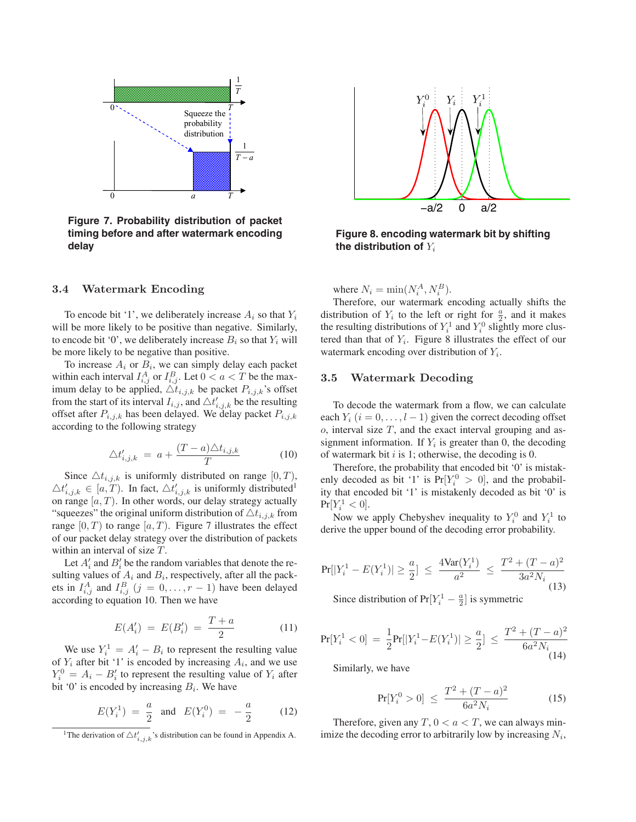

**Figure 7. Probability distribution of packet timing before and after watermark encoding delay**

#### **3.4 Watermark Encoding**

To encode bit '1', we deliberately increase  $A_i$  so that  $Y_i$ will be more likely to be positive than negative. Similarly, to encode bit '0', we deliberately increase  $B_i$  so that  $Y_i$  will be more likely to be negative than positive.

To increase  $A_i$  or  $B_i$ , we can simply delay each packet within each interval  $I_{i,j}^A$  or  $I_{i,j}^B$ . Let  $0 < a < T$  be the maximum delay to be applied,  $\Delta t_{i,j,k}$  be packet  $P_{i,j,k}$ 's offset from the start of its interval  $I_{i,j}$ , and  $\triangle t'_{i,j,k}$  be the resulting offset after *Pi,j,k* has been delayed. We delay packet *Pi,j,k* according to the following strategy

$$
\triangle t'_{i,j,k} = a + \frac{(T-a)\triangle t_{i,j,k}}{T}
$$
\n(10)

Since  $\triangle t_{i,j,k}$  is uniformly distributed on range  $[0, T)$ ,  $\Delta t'_{i,j,k} \in [a, T)$ . In fact,  $\Delta t'_{i,j,k}$  is uniformly distributed<sup>1</sup> on range [*a, T*). In other words, our delay strategy actually "squeezes" the original uniform distribution of  $\Delta t_{i,j,k}$  from range  $[0, T)$  to range  $[a, T)$ . Figure 7 illustrates the effect of our packet delay strategy over the distribution of packets within an interval of size *T*.

Let  $A'_i$  and  $B'_i$  be the random variables that denote the resulting values of  $A_i$  and  $B_i$ , respectively, after all the packets in  $I_{i,j}^A$  and  $I_{i,j}^B$   $(j = 0, \ldots, r - 1)$  have been delayed according to equation 10. Then we have

$$
E(A'_i) = E(B'_i) = \frac{T + a}{2} \tag{11}
$$

We use  $Y_i^1 = A'_i - B_i$  to represent the resulting value of  $Y_i$  after bit '1' is encoded by increasing  $A_i$ , and we use  $Y_i^0 = A_i - B'_i$  to represent the resulting value of  $Y_i$  after bit '0' is encoded by increasing  $B_i$ . We have

$$
E(Y_i^1) = \frac{a}{2}
$$
 and  $E(Y_i^0) = -\frac{a}{2}$  (12)



**Figure 8. encoding watermark bit by shifting the distribution of** *Y<sup>i</sup>*

where  $N_i = \min(N_i^A, N_i^B)$ .

Therefore, our watermark encoding actually shifts the distribution of  $Y_i$  to the left or right for  $\frac{a}{2}$ , and it makes the resulting distributions of  $Y_i^1$  and  $Y_i^0$  slightly more clustered than that of *Yi*. Figure 8 illustrates the effect of our watermark encoding over distribution of *Yi*.

#### **3.5 Watermark Decoding**

To decode the watermark from a flow, we can calculate each  $Y_i$  ( $i = 0, \ldots, l - 1$ ) given the correct decoding offset *o*, interval size *T*, and the exact interval grouping and assignment information. If  $Y_i$  is greater than 0, the decoding of watermark bit *i* is 1; otherwise, the decoding is 0.

Therefore, the probability that encoded bit '0' is mistakenly decoded as bit '1' is  $Pr[Y_i^0 > 0]$ , and the probability that encoded bit '1' is mistakenly decoded as bit '0' is  $Pr[Y_i^1 < 0].$ 

Now we apply Chebyshev inequality to  $Y_i^0$  and  $Y_i^1$  to derive the upper bound of the decoding error probability.

$$
Pr[|Y_i^1 - E(Y_i^1)| \ge \frac{a}{2}] \le \frac{4\text{Var}(Y_i^1)}{a^2} \le \frac{T^2 + (T - a)^2}{3a^2 N_i}
$$
(13)

Since distribution of  $Pr[Y_i^1 - \frac{a}{2}]$  is symmetric

$$
Pr[Y_i^1 < 0] = \frac{1}{2} Pr[|Y_i^1 - E(Y_i^1)| \ge \frac{a}{2}] \le \frac{T^2 + (T - a)^2}{6a^2 N_i}
$$
\n(14)

Similarly, we have

$$
Pr[Y_i^0 > 0] \le \frac{T^2 + (T - a)^2}{6a^2 N_i} \tag{15}
$$

Therefore, given any  $T$ ,  $0 < a < T$ , we can always minimize the decoding error to arbitrarily low by increasing *Ni*,

<sup>&</sup>lt;sup>1</sup>The derivation of  $\triangle t'_{i,j,k}$ 's distribution can be found in Appendix A.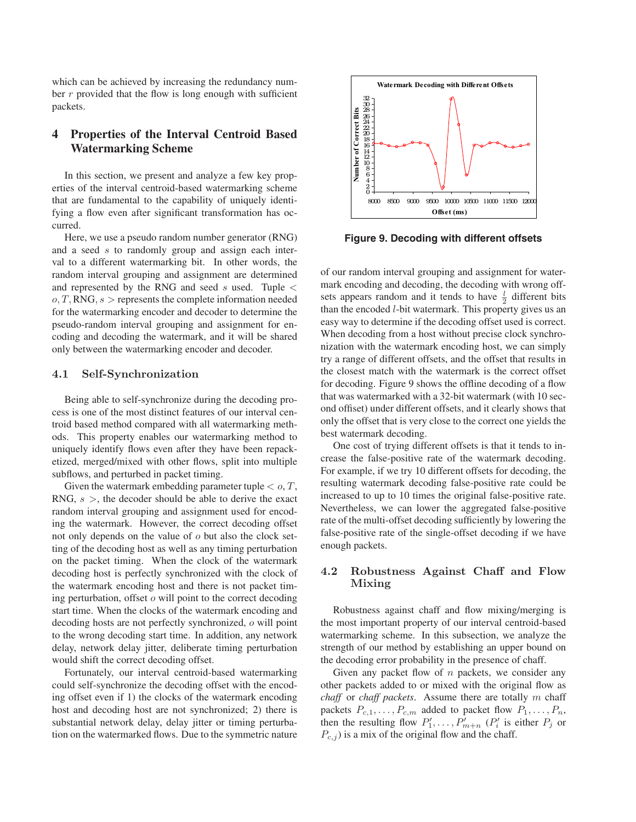which can be achieved by increasing the redundancy number *r* provided that the flow is long enough with sufficient packets.

# **4 Properties of the Interval Centroid Based Watermarking Scheme**

In this section, we present and analyze a few key properties of the interval centroid-based watermarking scheme that are fundamental to the capability of uniquely identifying a flow even after significant transformation has occurred.

Here, we use a pseudo random number generator (RNG) and a seed *s* to randomly group and assign each interval to a different watermarking bit. In other words, the random interval grouping and assignment are determined and represented by the RNG and seed *s* used. Tuple *<*  $o, T, RNG, s >$  represents the complete information needed for the watermarking encoder and decoder to determine the pseudo-random interval grouping and assignment for encoding and decoding the watermark, and it will be shared only between the watermarking encoder and decoder.

#### **4.1 Self-Synchronization**

Being able to self-synchronize during the decoding process is one of the most distinct features of our interval centroid based method compared with all watermarking methods. This property enables our watermarking method to uniquely identify flows even after they have been repacketized, merged/mixed with other flows, split into multiple subflows, and perturbed in packet timing.

Given the watermark embedding parameter tuple *< o*, *T*, RNG, *s >*, the decoder should be able to derive the exact random interval grouping and assignment used for encoding the watermark. However, the correct decoding offset not only depends on the value of *o* but also the clock setting of the decoding host as well as any timing perturbation on the packet timing. When the clock of the watermark decoding host is perfectly synchronized with the clock of the watermark encoding host and there is not packet timing perturbation, offset *o* will point to the correct decoding start time. When the clocks of the watermark encoding and decoding hosts are not perfectly synchronized, *o* will point to the wrong decoding start time. In addition, any network delay, network delay jitter, deliberate timing perturbation would shift the correct decoding offset.

Fortunately, our interval centroid-based watermarking could self-synchronize the decoding offset with the encoding offset even if 1) the clocks of the watermark encoding host and decoding host are not synchronized; 2) there is substantial network delay, delay jitter or timing perturbation on the watermarked flows. Due to the symmetric nature



**Figure 9. Decoding with different offsets**

of our random interval grouping and assignment for watermark encoding and decoding, the decoding with wrong offsets appears random and it tends to have  $\frac{l}{2}$  different bits than the encoded *l*-bit watermark. This property gives us an easy way to determine if the decoding offset used is correct. When decoding from a host without precise clock synchronization with the watermark encoding host, we can simply try a range of different offsets, and the offset that results in the closest match with the watermark is the correct offset for decoding. Figure 9 shows the offline decoding of a flow that was watermarked with a 32-bit watermark (with 10 second offiset) under different offsets, and it clearly shows that only the offset that is very close to the correct one yields the best watermark decoding.

One cost of trying different offsets is that it tends to increase the false-positive rate of the watermark decoding. For example, if we try 10 different offsets for decoding, the resulting watermark decoding false-positive rate could be increased to up to 10 times the original false-positive rate. Nevertheless, we can lower the aggregated false-positive rate of the multi-offset decoding sufficiently by lowering the false-positive rate of the single-offset decoding if we have enough packets.

# **4.2 Robustness Against Chaff and Flow Mixing**

Robustness against chaff and flow mixing/merging is the most important property of our interval centroid-based watermarking scheme. In this subsection, we analyze the strength of our method by establishing an upper bound on the decoding error probability in the presence of chaff.

Given any packet flow of *n* packets, we consider any other packets added to or mixed with the original flow as *chaff* or *chaff packets*. Assume there are totally *m* chaff packets  $P_{c,1}, \ldots, P_{c,m}$  added to packet flow  $P_1, \ldots, P_n$ , then the resulting flow  $P'_1, \ldots, P'_{m+n}$  ( $P'_i$  is either  $P_j$  or  $P_{c,j}$ ) is a mix of the original flow and the chaff.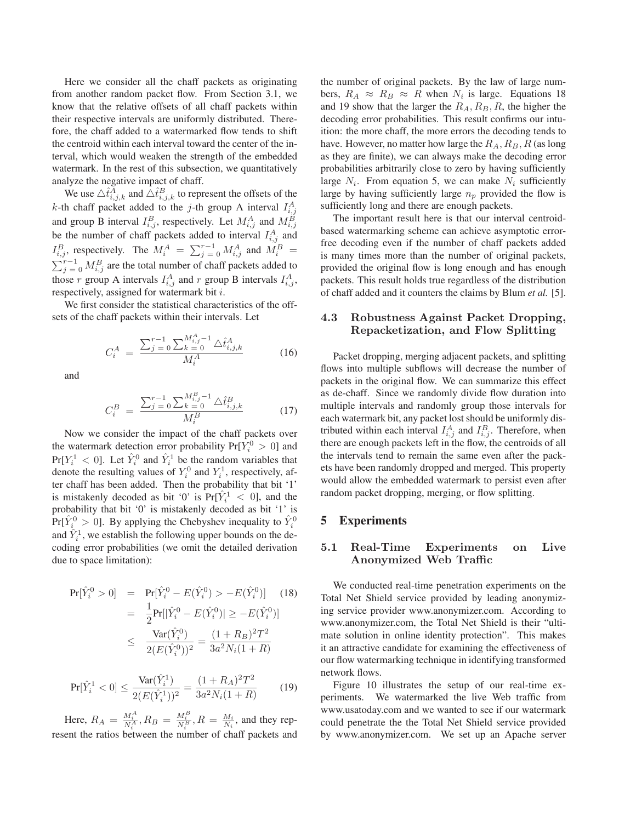Here we consider all the chaff packets as originating from another random packet flow. From Section 3.1, we know that the relative offsets of all chaff packets within their respective intervals are uniformly distributed. Therefore, the chaff added to a watermarked flow tends to shift the centroid within each interval toward the center of the interval, which would weaken the strength of the embedded watermark. In the rest of this subsection, we quantitatively analyze the negative impact of chaff.

We use  $\triangle \hat{t}_{i,j,k}^{\overline{A}}$  and  $\overline{\triangle} \hat{t}_{i,j,k}^B$  to represent the offsets of the *k*-th chaff packet added to the *j*-th group A interval  $I_{i,j}^A$ and group B interval  $I_{i,j}^B$ , respectively. Let  $M_{i,j}^A$  and  $M_{i,j}^B$ be the number of chaff packets added to interval  $I_{i,j}^A$  and *I*<sup>B</sup><sub>*i,j*</sub> , respectively. The  $M_i^A = \sum_{j=0}^{r-1} M_{i,j}^A$  and  $M_i^B =$  $\sum_{j=0}^{r-1} M_{i,j}^B$  are the total number of chaff packets added to those *r* group A intervals  $I_{i,j}^A$  and *r* group B intervals  $I_{i,j}^A$ , respectively, assigned for watermark bit *i*.

We first consider the statistical characteristics of the offsets of the chaff packets within their intervals. Let

$$
C_i^A = \frac{\sum_{j=0}^{r-1} \sum_{k=0}^{M_{i,j}^A - 1} \triangle \hat{t}_{i,j,k}^A}{M_i^A}
$$
 (16)

and

$$
C_i^B = \frac{\sum_{j=0}^{r-1} \sum_{k=0}^{M_{i,j}^B - 1} \triangle \hat{t}_{i,j,k}^B}{M_i^B}
$$
(17)

Now we consider the impact of the chaff packets over the watermark detection error probability  $Pr[Y_i^0 > 0]$  and  $Pr[Y_i^1 < 0]$ . Let  $\hat{Y}_i^0$  and  $\hat{Y}_i^1$  be the random variables that denote the resulting values of  $Y_i^0$  and  $Y_i^1$ , respectively, after chaff has been added. Then the probability that bit '1' is mistakenly decoded as bit '0' is  $Pr[\hat{Y}_i^1 \le 0]$ , and the probability that bit '0' is mistakenly decoded as bit '1' is  $Pr[\hat{Y}_i^0 > 0]$ . By applying the Chebyshev inequality to  $\hat{Y}_i^0$ and  $\hat{Y}_i^1$ , we establish the following upper bounds on the decoding error probabilities (we omit the detailed derivation due to space limitation):

$$
Pr[\hat{Y}_i^0 > 0] = Pr[\hat{Y}_i^0 - E(\hat{Y}_i^0) > -E(\hat{Y}_i^0)] \quad (18)
$$
  
= 
$$
\frac{1}{2} Pr[|\hat{Y}_i^0 - E(\hat{Y}_i^0)| \ge -E(\hat{Y}_i^0)]
$$
  

$$
\le \frac{Var(\hat{Y}_i^0)}{2(E(\hat{Y}_i^0))^2} = \frac{(1 + R_B)^2 T^2}{3a^2 N_i (1 + R)}
$$

$$
\Pr[\hat{Y}_i^1 < 0] \le \frac{\text{Var}(\hat{Y}_i^1)}{2(E(\hat{Y}_i^1))^2} = \frac{(1 + R_A)^2 T^2}{3a^2 N_i (1 + R)}\tag{19}
$$

Here,  $R_A = \frac{M_i^A}{N_i^A}, R_B = \frac{M_i^B}{N_i^B}, R = \frac{M_i}{N_i}$ , and they represent the ratios between the number of chaff packets and the number of original packets. By the law of large numbers,  $R_A \approx R_B \approx R$  when  $N_i$  is large. Equations 18 and 19 show that the larger the  $R_A$ ,  $R_B$ ,  $R$ , the higher the decoding error probabilities. This result confirms our intuition: the more chaff, the more errors the decoding tends to have. However, no matter how large the  $R_A$ ,  $R_B$ ,  $R$  (as long as they are finite), we can always make the decoding error probabilities arbitrarily close to zero by having sufficiently large  $N_i$ . From equation 5, we can make  $N_i$  sufficiently large by having sufficiently large  $n_p$  provided the flow is sufficiently long and there are enough packets.

The important result here is that our interval centroidbased watermarking scheme can achieve asymptotic errorfree decoding even if the number of chaff packets added is many times more than the number of original packets, provided the original flow is long enough and has enough packets. This result holds true regardless of the distribution of chaff added and it counters the claims by Blum *et al.* [5].

## **4.3 Robustness Against Packet Dropping, Repacketization, and Flow Splitting**

Packet dropping, merging adjacent packets, and splitting flows into multiple subflows will decrease the number of packets in the original flow. We can summarize this effect as de-chaff. Since we randomly divide flow duration into multiple intervals and randomly group those intervals for each watermark bit, any packet lost should be uniformly distributed within each interval  $I_{i,j}^A$  and  $I_{i,j}^B$ . Therefore, when there are enough packets left in the flow, the centroids of all the intervals tend to remain the same even after the packets have been randomly dropped and merged. This property would allow the embedded watermark to persist even after random packet dropping, merging, or flow splitting.

# **5 Experiments**

# **5.1 Real-Time Experiments on Live Anonymized Web Traffic**

We conducted real-time penetration experiments on the Total Net Shield service provided by leading anonymizing service provider www.anonymizer.com. According to www.anonymizer.com, the Total Net Shield is their "ultimate solution in online identity protection". This makes it an attractive candidate for examining the effectiveness of our flow watermarking technique in identifying transformed network flows.

Figure 10 illustrates the setup of our real-time experiments. We watermarked the live Web traffic from www.usatoday.com and we wanted to see if our watermark could penetrate the the Total Net Shield service provided by www.anonymizer.com. We set up an Apache server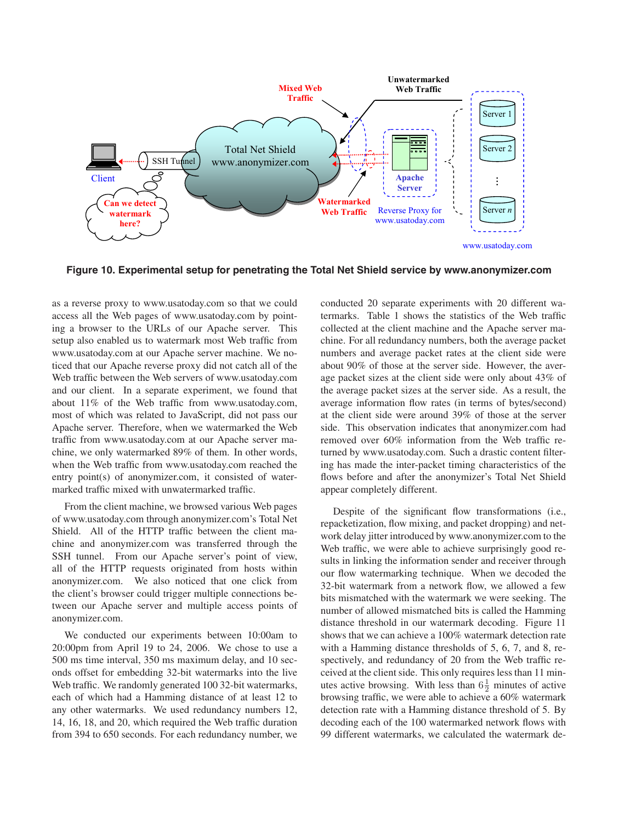

**Figure 10. Experimental setup for penetrating the Total Net Shield service by www.anonymizer.com**

as a reverse proxy to www.usatoday.com so that we could access all the Web pages of www.usatoday.com by pointing a browser to the URLs of our Apache server. This setup also enabled us to watermark most Web traffic from www.usatoday.com at our Apache server machine. We noticed that our Apache reverse proxy did not catch all of the Web traffic between the Web servers of www.usatoday.com and our client. In a separate experiment, we found that about 11% of the Web traffic from www.usatoday.com, most of which was related to JavaScript, did not pass our Apache server. Therefore, when we watermarked the Web traffic from www.usatoday.com at our Apache server machine, we only watermarked 89% of them. In other words, when the Web traffic from www.usatoday.com reached the entry point(s) of anonymizer.com, it consisted of watermarked traffic mixed with unwatermarked traffic.

From the client machine, we browsed various Web pages of www.usatoday.com through anonymizer.com's Total Net Shield. All of the HTTP traffic between the client machine and anonymizer.com was transferred through the SSH tunnel. From our Apache server's point of view, all of the HTTP requests originated from hosts within anonymizer.com. We also noticed that one click from the client's browser could trigger multiple connections between our Apache server and multiple access points of anonymizer.com.

We conducted our experiments between 10:00am to 20:00pm from April 19 to 24, 2006. We chose to use a 500 ms time interval, 350 ms maximum delay, and 10 seconds offset for embedding 32-bit watermarks into the live Web traffic. We randomly generated 100 32-bit watermarks, each of which had a Hamming distance of at least 12 to any other watermarks. We used redundancy numbers 12, 14, 16, 18, and 20, which required the Web traffic duration from 394 to 650 seconds. For each redundancy number, we conducted 20 separate experiments with 20 different watermarks. Table 1 shows the statistics of the Web traffic collected at the client machine and the Apache server machine. For all redundancy numbers, both the average packet numbers and average packet rates at the client side were about 90% of those at the server side. However, the average packet sizes at the client side were only about 43% of the average packet sizes at the server side. As a result, the average information flow rates (in terms of bytes/second) at the client side were around 39% of those at the server side. This observation indicates that anonymizer.com had removed over 60% information from the Web traffic returned by www.usatoday.com. Such a drastic content filtering has made the inter-packet timing characteristics of the flows before and after the anonymizer's Total Net Shield appear completely different.

Despite of the significant flow transformations (i.e., repacketization, flow mixing, and packet dropping) and network delay jitter introduced by www.anonymizer.com to the Web traffic, we were able to achieve surprisingly good results in linking the information sender and receiver through our flow watermarking technique. When we decoded the 32-bit watermark from a network flow, we allowed a few bits mismatched with the watermark we were seeking. The number of allowed mismatched bits is called the Hamming distance threshold in our watermark decoding. Figure 11 shows that we can achieve a 100% watermark detection rate with a Hamming distance thresholds of 5, 6, 7, and 8, respectively, and redundancy of 20 from the Web traffic received at the client side. This only requires less than 11 minutes active browsing. With less than  $6\frac{1}{2}$  minutes of active browsing traffic, we were able to achieve a 60% watermark detection rate with a Hamming distance threshold of 5. By decoding each of the 100 watermarked network flows with 99 different watermarks, we calculated the watermark de-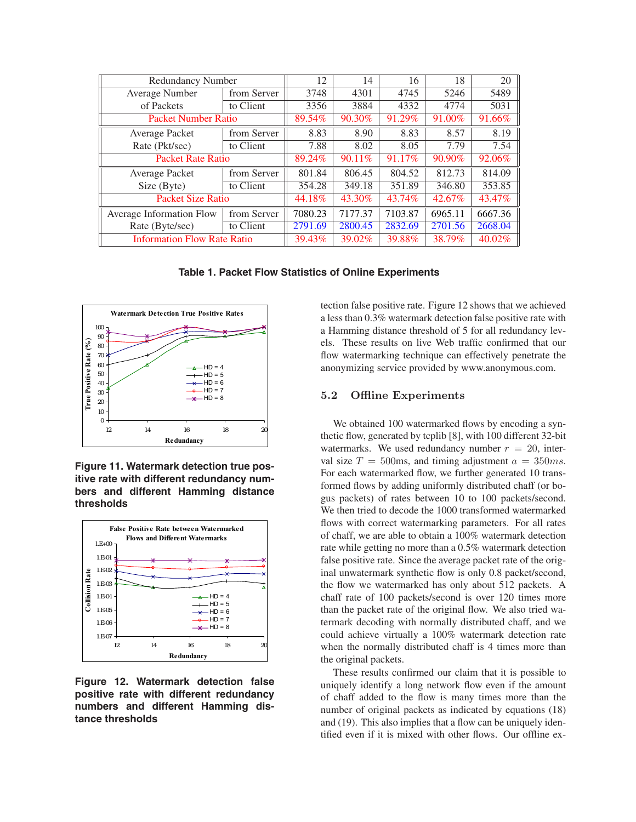| <b>Redundancy Number</b>           |             | 12      | 14      | 16      | 18      | 20      |
|------------------------------------|-------------|---------|---------|---------|---------|---------|
| Average Number                     | from Server | 3748    | 4301    | 4745    | 5246    | 5489    |
| of Packets                         | to Client   | 3356    | 3884    | 4332    | 4774    | 5031    |
| <b>Packet Number Ratio</b>         |             | 89.54%  | 90.30%  | 91.29%  | 91.00%  | 91.66%  |
| Average Packet                     | from Server | 8.83    | 8.90    | 8.83    | 8.57    | 8.19    |
| Rate (Pkt/sec)                     | to Client   | 7.88    | 8.02    | 8.05    | 7.79    | 7.54    |
| <b>Packet Rate Ratio</b>           |             | 89.24%  | 90.11\% | 91.17%  | 90.90%  | 92.06%  |
| Average Packet                     | from Server | 801.84  | 806.45  | 804.52  | 812.73  | 814.09  |
| Size (Byte)                        | to Client   | 354.28  | 349.18  | 351.89  | 346.80  | 353.85  |
| <b>Packet Size Ratio</b>           |             | 44.18%  | 43.30%  | 43.74%  | 42.67%  | 43.47%  |
| Average Information Flow           | from Server | 7080.23 | 7177.37 | 7103.87 | 6965.11 | 6667.36 |
| Rate (Byte/sec)                    | to Client   | 2791.69 | 2800.45 | 2832.69 | 2701.56 | 2668.04 |
| <b>Information Flow Rate Ratio</b> |             | 39.43%  | 39.02%  | 39.88%  | 38.79%  | 40.02%  |

**Table 1. Packet Flow Statistics of Online Experiments**



**Figure 11. Watermark detection true positive rate with different redundancy numbers and different Hamming distance thresholds**



**Figure 12. Watermark detection false positive rate with different redundancy numbers and different Hamming distance thresholds**

tection false positive rate. Figure 12 shows that we achieved a less than 0.3% watermark detection false positive rate with a Hamming distance threshold of 5 for all redundancy levels. These results on live Web traffic confirmed that our flow watermarking technique can effectively penetrate the anonymizing service provided by www.anonymous.com.

## **5.2 Offline Experiments**

We obtained 100 watermarked flows by encoding a synthetic flow, generated by tcplib [8], with 100 different 32-bit watermarks. We used redundancy number  $r = 20$ , interval size  $T = 500$ ms, and timing adjustment  $a = 350$ ms. For each watermarked flow, we further generated 10 transformed flows by adding uniformly distributed chaff (or bogus packets) of rates between 10 to 100 packets/second. We then tried to decode the 1000 transformed watermarked flows with correct watermarking parameters. For all rates of chaff, we are able to obtain a 100% watermark detection rate while getting no more than a 0.5% watermark detection false positive rate. Since the average packet rate of the original unwatermark synthetic flow is only 0.8 packet/second, the flow we watermarked has only about 512 packets. A chaff rate of 100 packets/second is over 120 times more than the packet rate of the original flow. We also tried watermark decoding with normally distributed chaff, and we could achieve virtually a 100% watermark detection rate when the normally distributed chaff is 4 times more than the original packets.

These results confirmed our claim that it is possible to uniquely identify a long network flow even if the amount of chaff added to the flow is many times more than the number of original packets as indicated by equations (18) and (19). This also implies that a flow can be uniquely identified even if it is mixed with other flows. Our offline ex-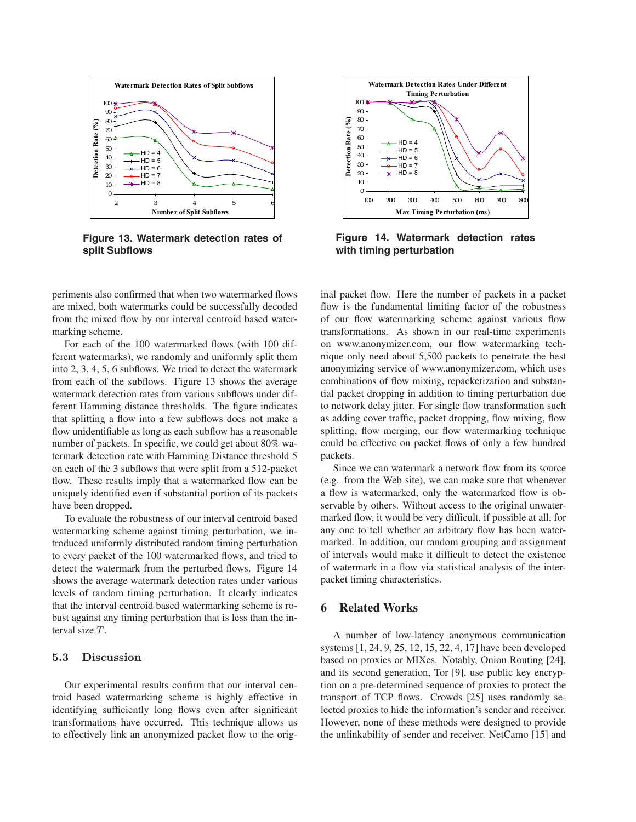

**Figure 13. Watermark detection rates of split Subflows**

periments also confirmed that when two watermarked flows are mixed, both watermarks could be successfully decoded from the mixed flow by our interval centroid based watermarking scheme.

For each of the 100 watermarked flows (with 100 different watermarks), we randomly and uniformly split them into 2, 3, 4, 5, 6 subflows. We tried to detect the watermark from each of the subflows. Figure 13 shows the average watermark detection rates from various subflows under different Hamming distance thresholds. The figure indicates that splitting a flow into a few subflows does not make a flow unidentifiable as long as each subflow has a reasonable number of packets. In specific, we could get about 80% watermark detection rate with Hamming Distance threshold 5 on each of the 3 subflows that were split from a 512-packet flow. These results imply that a watermarked flow can be uniquely identified even if substantial portion of its packets have been dropped.

To evaluate the robustness of our interval centroid based watermarking scheme against timing perturbation, we introduced uniformly distributed random timing perturbation to every packet of the 100 watermarked flows, and tried to detect the watermark from the perturbed flows. Figure 14 shows the average watermark detection rates under various levels of random timing perturbation. It clearly indicates that the interval centroid based watermarking scheme is robust against any timing perturbation that is less than the interval size *T*.

#### **5.3 Discussion**

Our experimental results confirm that our interval centroid based watermarking scheme is highly effective in identifying sufficiently long flows even after significant transformations have occurred. This technique allows us to effectively link an anonymized packet flow to the orig-



**Figure 14. Watermark detection rates with timing perturbation**

inal packet flow. Here the number of packets in a packet flow is the fundamental limiting factor of the robustness of our flow watermarking scheme against various flow transformations. As shown in our real-time experiments on www.anonymizer.com, our flow watermarking technique only need about 5,500 packets to penetrate the best anonymizing service of www.anonymizer.com, which uses combinations of flow mixing, repacketization and substantial packet dropping in addition to timing perturbation due to network delay jitter. For single flow transformation such as adding cover traffic, packet dropping, flow mixing, flow splitting, flow merging, our flow watermarking technique could be effective on packet flows of only a few hundred packets.

Since we can watermark a network flow from its source (e.g. from the Web site), we can make sure that whenever a flow is watermarked, only the watermarked flow is observable by others. Without access to the original unwatermarked flow, it would be very difficult, if possible at all, for any one to tell whether an arbitrary flow has been watermarked. In addition, our random grouping and assignment of intervals would make it difficult to detect the existence of watermark in a flow via statistical analysis of the interpacket timing characteristics.

## **6 Related Works**

A number of low-latency anonymous communication systems [1, 24, 9, 25, 12, 15, 22, 4, 17] have been developed based on proxies or MIXes. Notably, Onion Routing [24], and its second generation, Tor [9], use public key encryption on a pre-determined sequence of proxies to protect the transport of TCP flows. Crowds [25] uses randomly selected proxies to hide the information's sender and receiver. However, none of these methods were designed to provide the unlinkability of sender and receiver. NetCamo [15] and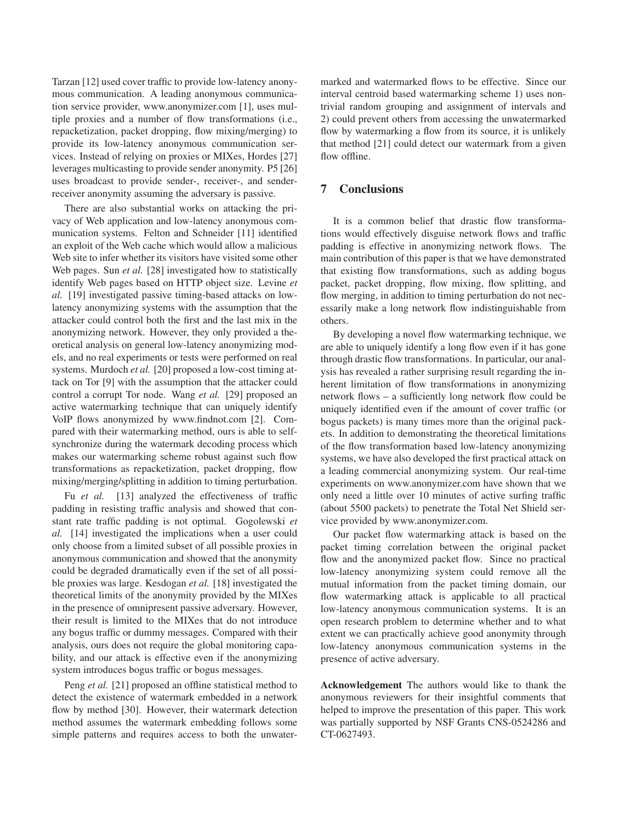Tarzan [12] used cover traffic to provide low-latency anonymous communication. A leading anonymous communication service provider, www.anonymizer.com [1], uses multiple proxies and a number of flow transformations (i.e., repacketization, packet dropping, flow mixing/merging) to provide its low-latency anonymous communication services. Instead of relying on proxies or MIXes, Hordes [27] leverages multicasting to provide sender anonymity. P5 [26] uses broadcast to provide sender-, receiver-, and senderreceiver anonymity assuming the adversary is passive.

There are also substantial works on attacking the privacy of Web application and low-latency anonymous communication systems. Felton and Schneider [11] identified an exploit of the Web cache which would allow a malicious Web site to infer whether its visitors have visited some other Web pages. Sun *et al.* [28] investigated how to statistically identify Web pages based on HTTP object size. Levine *et al.* [19] investigated passive timing-based attacks on lowlatency anonymizing systems with the assumption that the attacker could control both the first and the last mix in the anonymizing network. However, they only provided a theoretical analysis on general low-latency anonymizing models, and no real experiments or tests were performed on real systems. Murdoch *et al.* [20] proposed a low-cost timing attack on Tor [9] with the assumption that the attacker could control a corrupt Tor node. Wang *et al.* [29] proposed an active watermarking technique that can uniquely identify VoIP flows anonymized by www.findnot.com [2]. Compared with their watermarking method, ours is able to selfsynchronize during the watermark decoding process which makes our watermarking scheme robust against such flow transformations as repacketization, packet dropping, flow mixing/merging/splitting in addition to timing perturbation.

Fu *et al.* [13] analyzed the effectiveness of traffic padding in resisting traffic analysis and showed that constant rate traffic padding is not optimal. Gogolewski *et al.* [14] investigated the implications when a user could only choose from a limited subset of all possible proxies in anonymous communication and showed that the anonymity could be degraded dramatically even if the set of all possible proxies was large. Kesdogan *et al.* [18] investigated the theoretical limits of the anonymity provided by the MIXes in the presence of omnipresent passive adversary. However, their result is limited to the MIXes that do not introduce any bogus traffic or dummy messages. Compared with their analysis, ours does not require the global monitoring capability, and our attack is effective even if the anonymizing system introduces bogus traffic or bogus messages.

Peng *et al.* [21] proposed an offline statistical method to detect the existence of watermark embedded in a network flow by method [30]. However, their watermark detection method assumes the watermark embedding follows some simple patterns and requires access to both the unwatermarked and watermarked flows to be effective. Since our interval centroid based watermarking scheme 1) uses nontrivial random grouping and assignment of intervals and 2) could prevent others from accessing the unwatermarked flow by watermarking a flow from its source, it is unlikely that method [21] could detect our watermark from a given flow offline.

# **7 Conclusions**

It is a common belief that drastic flow transformations would effectively disguise network flows and traffic padding is effective in anonymizing network flows. The main contribution of this paper is that we have demonstrated that existing flow transformations, such as adding bogus packet, packet dropping, flow mixing, flow splitting, and flow merging, in addition to timing perturbation do not necessarily make a long network flow indistinguishable from others.

By developing a novel flow watermarking technique, we are able to uniquely identify a long flow even if it has gone through drastic flow transformations. In particular, our analysis has revealed a rather surprising result regarding the inherent limitation of flow transformations in anonymizing network flows – a sufficiently long network flow could be uniquely identified even if the amount of cover traffic (or bogus packets) is many times more than the original packets. In addition to demonstrating the theoretical limitations of the flow transformation based low-latency anonymizing systems, we have also developed the first practical attack on a leading commercial anonymizing system. Our real-time experiments on www.anonymizer.com have shown that we only need a little over 10 minutes of active surfing traffic (about 5500 packets) to penetrate the Total Net Shield service provided by www.anonymizer.com.

Our packet flow watermarking attack is based on the packet timing correlation between the original packet flow and the anonymized packet flow. Since no practical low-latency anonymizing system could remove all the mutual information from the packet timing domain, our flow watermarking attack is applicable to all practical low-latency anonymous communication systems. It is an open research problem to determine whether and to what extent we can practically achieve good anonymity through low-latency anonymous communication systems in the presence of active adversary.

**Acknowledgement** The authors would like to thank the anonymous reviewers for their insightful comments that helped to improve the presentation of this paper. This work was partially supported by NSF Grants CNS-0524286 and CT-0627493.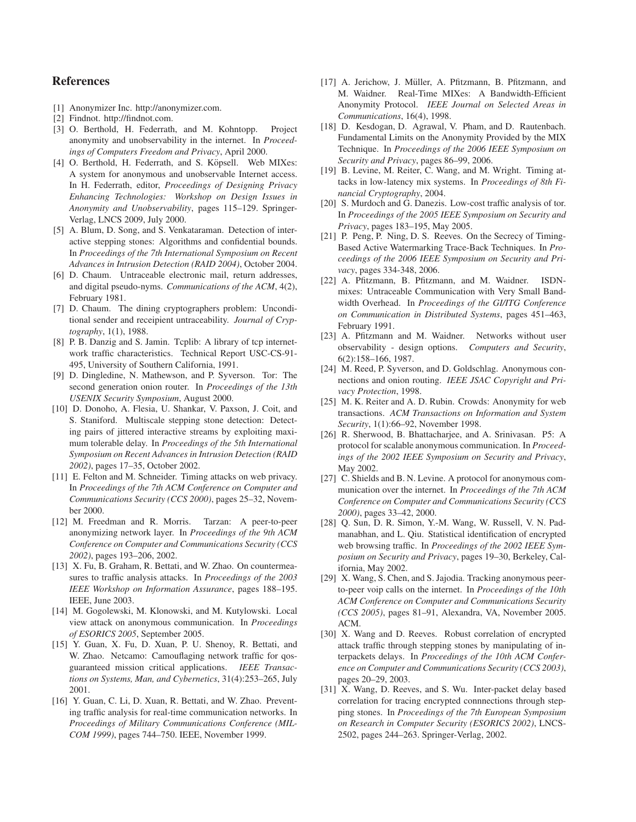# **References**

- [1] Anonymizer Inc. http://anonymizer.com.
- [2] Findnot. http://findnot.com.
- [3] O. Berthold, H. Federrath, and M. Kohntopp. Project anonymity and unobservability in the internet. In *Proceedings of Computers Freedom and Privacy*, April 2000.
- [4] O. Berthold, H. Federrath, and S. Köpsell. Web MIXes: A system for anonymous and unobservable Internet access. In H. Federrath, editor, *Proceedings of Designing Privacy Enhancing Technologies: Workshop on Design Issues in Anonymity and Unobservability*, pages 115–129. Springer-Verlag, LNCS 2009, July 2000.
- [5] A. Blum, D. Song, and S. Venkataraman. Detection of interactive stepping stones: Algorithms and confidential bounds. In *Proceedings of the 7th International Symposium on Recent Advances in Intrusion Detection (RAID 2004)*, October 2004.
- [6] D. Chaum. Untraceable electronic mail, return addresses, and digital pseudo-nyms. *Communications of the ACM*, 4(2), February 1981.
- [7] D. Chaum. The dining cryptographers problem: Unconditional sender and receipient untraceability. *Journal of Cryptography*, 1(1), 1988.
- [8] P. B. Danzig and S. Jamin. Tcplib: A library of tcp internetwork traffic characteristics. Technical Report USC-CS-91- 495, University of Southern California, 1991.
- [9] D. Dingledine, N. Mathewson, and P. Syverson. Tor: The second generation onion router. In *Proceedings of the 13th USENIX Security Symposium*, August 2000.
- [10] D. Donoho, A. Flesia, U. Shankar, V. Paxson, J. Coit, and S. Staniford. Multiscale stepping stone detection: Detecting pairs of jittered interactive streams by exploiting maximum tolerable delay. In *Proceedings of the 5th International Symposium on Recent Advances in Intrusion Detection (RAID 2002)*, pages 17–35, October 2002.
- [11] E. Felton and M. Schneider. Timing attacks on web privacy. In *Proceedings of the 7th ACM Conference on Computer and Communications Security (CCS 2000)*, pages 25–32, November 2000.
- [12] M. Freedman and R. Morris. Tarzan: A peer-to-peer anonymizing network layer. In *Proceedings of the 9th ACM Conference on Computer and Communications Security (CCS 2002)*, pages 193–206, 2002.
- [13] X. Fu, B. Graham, R. Bettati, and W. Zhao. On countermeasures to traffic analysis attacks. In *Proceedings of the 2003 IEEE Workshop on Information Assurance*, pages 188–195. IEEE, June 2003.
- [14] M. Gogolewski, M. Klonowski, and M. Kutylowski. Local view attack on anonymous communication. In *Proceedings of ESORICS 2005*, September 2005.
- [15] Y. Guan, X. Fu, D. Xuan, P. U. Shenoy, R. Bettati, and W. Zhao. Netcamo: Camouflaging network traffic for qosguaranteed mission critical applications. *IEEE Transactions on Systems, Man, and Cybernetics*, 31(4):253–265, July 2001.
- [16] Y. Guan, C. Li, D. Xuan, R. Bettati, and W. Zhao. Preventing traffic analysis for real-time communication networks. In *Proceedings of Military Communications Conference (MIL-COM 1999)*, pages 744–750. IEEE, November 1999.
- [17] A. Jerichow, J. Müller, A. Pfitzmann, B. Pfitzmann, and M. Waidner. Real-Time MIXes: A Bandwidth-Efficient Anonymity Protocol. *IEEE Journal on Selected Areas in Communications*, 16(4), 1998.
- [18] D. Kesdogan, D. Agrawal, V. Pham, and D. Rautenbach. Fundamental Limits on the Anonymity Provided by the MIX Technique. In *Proceedings of the 2006 IEEE Symposium on Security and Privacy*, pages 86–99, 2006.
- [19] B. Levine, M. Reiter, C. Wang, and M. Wright. Timing attacks in low-latency mix systems. In *Proceedings of 8th Financial Cryptography*, 2004.
- [20] S. Murdoch and G. Danezis. Low-cost traffic analysis of tor. In *Proceedings of the 2005 IEEE Symposium on Security and Privacy*, pages 183–195, May 2005.
- [21] P. Peng, P. Ning, D. S. Reeves. On the Secrecy of Timing-Based Active Watermarking Trace-Back Techniques. In *Proceedings of the 2006 IEEE Symposium on Security and Privacy*, pages 334-348, 2006.
- [22] A. Pfitzmann, B. Pfitzmann, and M. Waidner. ISDNmixes: Untraceable Communication with Very Small Bandwidth Overhead. In *Proceedings of the GI/ITG Conference on Communication in Distributed Systems*, pages 451–463, February 1991.
- [23] A. Pfitzmann and M. Waidner. Networks without user observability - design options. *Computers and Security*, 6(2):158–166, 1987.
- [24] M. Reed, P. Syverson, and D. Goldschlag. Anonymous connections and onion routing. *IEEE JSAC Copyright and Privacy Protection*, 1998.
- [25] M. K. Reiter and A. D. Rubin. Crowds: Anonymity for web transactions. *ACM Transactions on Information and System Security*, 1(1):66–92, November 1998.
- [26] R. Sherwood, B. Bhattacharjee, and A. Srinivasan. P5: A protocol for scalable anonymous communication. In *Proceedings of the 2002 IEEE Symposium on Security and Privacy*, May 2002.
- [27] C. Shields and B. N. Levine. A protocol for anonymous communication over the internet. In *Proceedings of the 7th ACM Conference on Computer and Communications Security (CCS 2000)*, pages 33–42, 2000.
- [28] Q. Sun, D. R. Simon, Y.-M. Wang, W. Russell, V. N. Padmanabhan, and L. Qiu. Statistical identification of encrypted web browsing traffic. In *Proceedings of the 2002 IEEE Symposium on Security and Privacy*, pages 19–30, Berkeley, California, May 2002.
- [29] X. Wang, S. Chen, and S. Jajodia. Tracking anonymous peerto-peer voip calls on the internet. In *Proceedings of the 10th ACM Conference on Computer and Communications Security (CCS 2005)*, pages 81–91, Alexandra, VA, November 2005. ACM.
- [30] X. Wang and D. Reeves. Robust correlation of encrypted attack traffic through stepping stones by manipulating of interpackets delays. In *Proceedings of the 10th ACM Conference on Computer and Communications Security (CCS 2003)*, pages 20–29, 2003.
- [31] X. Wang, D. Reeves, and S. Wu. Inter-packet delay based correlation for tracing encrypted connnections through stepping stones. In *Proceedings of the 7th European Symposium on Research in Computer Security (ESORICS 2002)*, LNCS-2502, pages 244–263. Springer-Verlag, 2002.